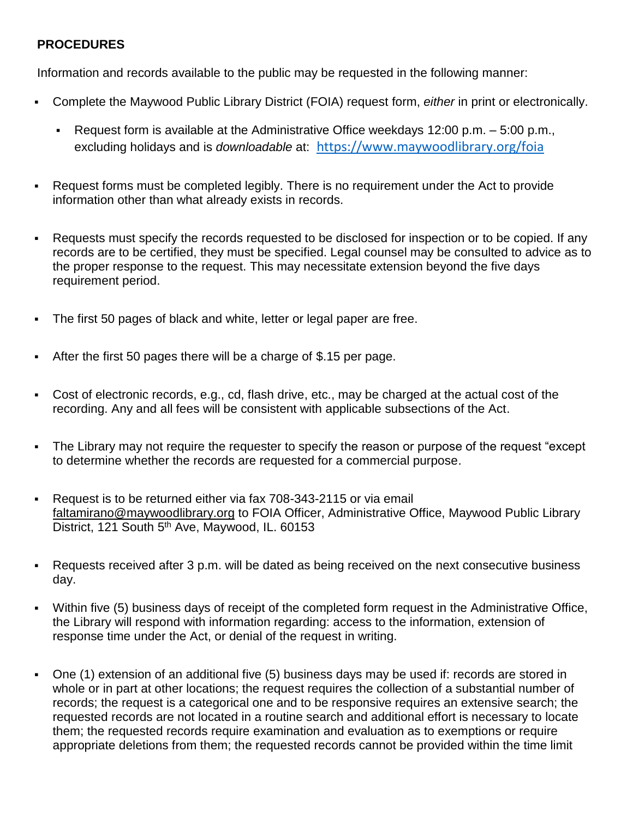## **PROCEDURES**

Information and records available to the public may be requested in the following manner:

- Complete the Maywood Public Library District (FOIA) request form, *either* in print or electronically.
	- Request form is available at the Administrative Office weekdays 12:00 p.m. 5:00 p.m., excluding holidays and is *downloadable* at: <https://www.maywoodlibrary.org/foia>
- Request forms must be completed legibly. There is no requirement under the Act to provide information other than what already exists in records.
- Requests must specify the records requested to be disclosed for inspection or to be copied. If any records are to be certified, they must be specified. Legal counsel may be consulted to advice as to the proper response to the request. This may necessitate extension beyond the five days requirement period.
- The first 50 pages of black and white, letter or legal paper are free.
- After the first 50 pages there will be a charge of \$.15 per page.
- Cost of electronic records, e.g., cd, flash drive, etc., may be charged at the actual cost of the recording. Any and all fees will be consistent with applicable subsections of the Act.
- The Library may not require the requester to specify the reason or purpose of the request "except to determine whether the records are requested for a commercial purpose.
- Request is to be returned either via fax 708-343-2115 or via email [faltamirano@maywoodlibrary.org](mailto:faltamirano@maywoodlibrary.org) to FOIA Officer, Administrative Office, Maywood Public Library District, 121 South 5<sup>th</sup> Ave, Maywood, IL. 60153
- Requests received after 3 p.m. will be dated as being received on the next consecutive business day.
- Within five (5) business days of receipt of the completed form request in the Administrative Office, the Library will respond with information regarding: access to the information, extension of response time under the Act, or denial of the request in writing.
- One (1) extension of an additional five (5) business days may be used if: records are stored in whole or in part at other locations; the request requires the collection of a substantial number of records; the request is a categorical one and to be responsive requires an extensive search; the requested records are not located in a routine search and additional effort is necessary to locate them; the requested records require examination and evaluation as to exemptions or require appropriate deletions from them; the requested records cannot be provided within the time limit